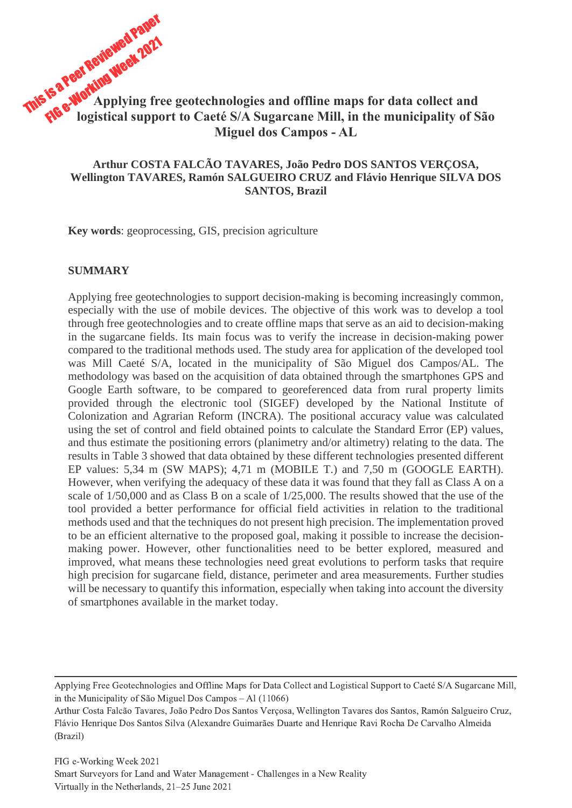# This is a Peer Reviewed Paper FIG e-Working Week 2021 **Applying free geotechnologies and offline maps for data collect and logistical support to Caeté S/A Sugarcane Mill, in the municipality of São Miguel dos Campos - AL**

# **Arthur COSTA FALCÃO TAVARES, João Pedro DOS SANTOS VERÇOSA, Wellington TAVARES, Ramón SALGUEIRO CRUZ and Flávio Henrique SILVA DOS SANTOS, Brazil**

**Key words**: geoprocessing, GIS, precision agriculture

#### **SUMMARY**

Applying free geotechnologies to support decision-making is becoming increasingly common, especially with the use of mobile devices. The objective of this work was to develop a tool through free geotechnologies and to create offline maps that serve as an aid to decision-making in the sugarcane fields. Its main focus was to verify the increase in decision-making power compared to the traditional methods used. The study area for application of the developed tool was Mill Caeté S/A, located in the municipality of São Miguel dos Campos/AL. The methodology was based on the acquisition of data obtained through the smartphones GPS and Google Earth software, to be compared to georeferenced data from rural property limits provided through the electronic tool (SIGEF) developed by the National Institute of Colonization and Agrarian Reform (INCRA). The positional accuracy value was calculated using the set of control and field obtained points to calculate the Standard Error (EP) values, and thus estimate the positioning errors (planimetry and/or altimetry) relating to the data. The results in Table 3 showed that data obtained by these different technologies presented different EP values: 5,34 m (SW MAPS); 4,71 m (MOBILE T.) and 7,50 m (GOOGLE EARTH). However, when verifying the adequacy of these data it was found that they fall as Class A on a scale of 1/50,000 and as Class B on a scale of 1/25,000. The results showed that the use of the tool provided a better performance for official field activities in relation to the traditional methods used and that the techniques do not present high precision. The implementation proved to be an efficient alternative to the proposed goal, making it possible to increase the decisionmaking power. However, other functionalities need to be better explored, measured and improved, what means these technologies need great evolutions to perform tasks that require high precision for sugarcane field, distance, perimeter and area measurements. Further studies will be necessary to quantify this information, especially when taking into account the diversity of smartphones available in the market today.

Applying Free Geotechnologies and Offline Maps for Data Collect and Logistical Support to Caeté S/A Sugarcane Mill, in the Municipality of São Miguel Dos Campos – Al (11066)

Arthur Costa Falcão Tavares, João Pedro Dos Santos Verçosa, Wellington Tavares dos Santos, Ramón Salgueiro Cruz, Flávio Henrique Dos Santos Silva (Alexandre Guimarães Duarte and Henrique Ravi Rocha De Carvalho Almeida (Brazil)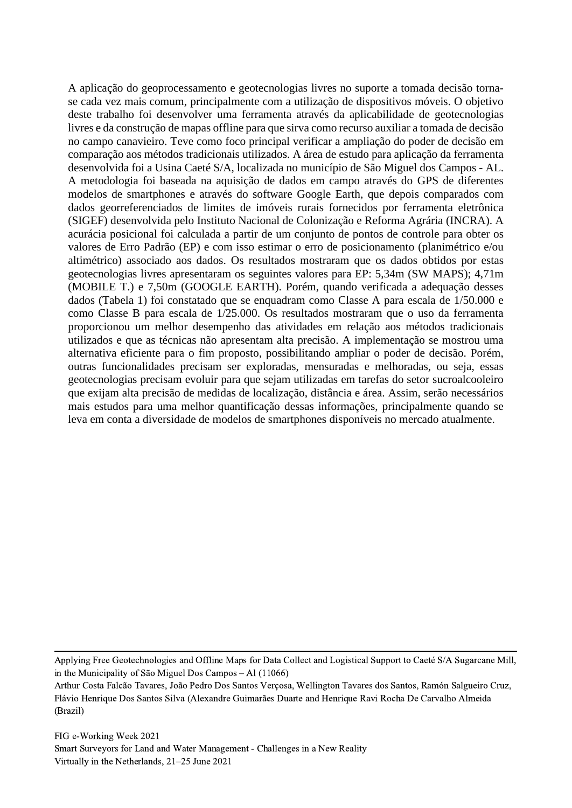A aplicação do geoprocessamento e geotecnologias livres no suporte a tomada decisão tornase cada vez mais comum, principalmente com a utilização de dispositivos móveis. O objetivo deste trabalho foi desenvolver uma ferramenta através da aplicabilidade de geotecnologias livres e da construção de mapas offline para que sirva como recurso auxiliar a tomada de decisão no campo canavieiro. Teve como foco principal verificar a ampliação do poder de decisão em comparação aos métodos tradicionais utilizados. A área de estudo para aplicação da ferramenta desenvolvida foi a Usina Caeté S/A, localizada no município de São Miguel dos Campos - AL. A metodologia foi baseada na aquisição de dados em campo através do GPS de diferentes modelos de smartphones e através do software Google Earth, que depois comparados com dados georreferenciados de limites de imóveis rurais fornecidos por ferramenta eletrônica (SIGEF) desenvolvida pelo Instituto Nacional de Colonização e Reforma Agrária (INCRA). A acurácia posicional foi calculada a partir de um conjunto de pontos de controle para obter os valores de Erro Padrão (EP) e com isso estimar o erro de posicionamento (planimétrico e/ou altimétrico) associado aos dados. Os resultados mostraram que os dados obtidos por estas geotecnologias livres apresentaram os seguintes valores para EP: 5,34m (SW MAPS); 4,71m (MOBILE T.) e 7,50m (GOOGLE EARTH). Porém, quando verificada a adequação desses dados (Tabela 1) foi constatado que se enquadram como Classe A para escala de 1/50.000 e como Classe B para escala de 1/25.000. Os resultados mostraram que o uso da ferramenta proporcionou um melhor desempenho das atividades em relação aos métodos tradicionais utilizados e que as técnicas não apresentam alta precisão. A implementação se mostrou uma alternativa eficiente para o fim proposto, possibilitando ampliar o poder de decisão. Porém, outras funcionalidades precisam ser exploradas, mensuradas e melhoradas, ou seja, essas geotecnologias precisam evoluir para que sejam utilizadas em tarefas do setor sucroalcooleiro que exijam alta precisão de medidas de localização, distância e área. Assim, serão necessários mais estudos para uma melhor quantificação dessas informações, principalmente quando se leva em conta a diversidade de modelos de smartphones disponíveis no mercado atualmente.

Applying Free Geotechnologies and Offline Maps for Data Collect and Logistical Support to Caeté S/A Sugarcane Mill, in the Municipality of São Miguel Dos Campos – Al (11066)

Arthur Costa Falcão Tavares, João Pedro Dos Santos Verçosa, Wellington Tavares dos Santos, Ramón Salgueiro Cruz, Flávio Henrique Dos Santos Silva (Alexandre Guimarães Duarte and Henrique Ravi Rocha De Carvalho Almeida (Brazil)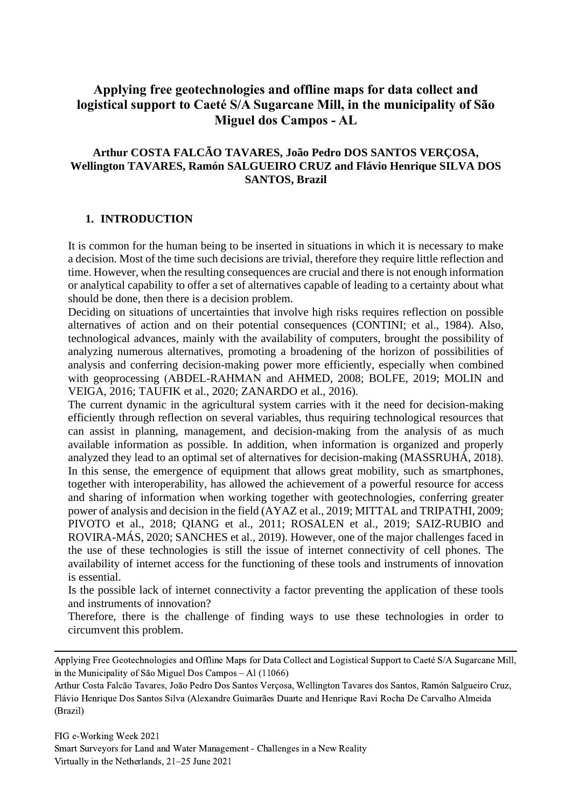# **Applying free geotechnologies and offline maps for data collect and logistical support to Caeté S/A Sugarcane Mill, in the municipality of São Miguel dos Campos - AL**

# **Arthur COSTA FALCÃO TAVARES, João Pedro DOS SANTOS VERÇOSA, Wellington TAVARES, Ramón SALGUEIRO CRUZ and Flávio Henrique SILVA DOS SANTOS, Brazil**

#### **1. INTRODUCTION**

It is common for the human being to be inserted in situations in which it is necessary to make a decision. Most of the time such decisions are trivial, therefore they require little reflection and time. However, when the resulting consequences are crucial and there is not enough information or analytical capability to offer a set of alternatives capable of leading to a certainty about what should be done, then there is a decision problem.

Deciding on situations of uncertainties that involve high risks requires reflection on possible alternatives of action and on their potential consequences (CONTINI; et al., 1984). Also, technological advances, mainly with the availability of computers, brought the possibility of analyzing numerous alternatives, promoting a broadening of the horizon of possibilities of analysis and conferring decision-making power more efficiently, especially when combined with geoprocessing (ABDEL‐RAHMAN and AHMED, 2008; BOLFE, 2019; MOLIN and VEIGA, 2016; TAUFIK et al., 2020; ZANARDO et al., 2016).

The current dynamic in the agricultural system carries with it the need for decision-making efficiently through reflection on several variables, thus requiring technological resources that can assist in planning, management, and decision-making from the analysis of as much available information as possible. In addition, when information is organized and properly analyzed they lead to an optimal set of alternatives for decision-making (MASSRUHÁ, 2018). In this sense, the emergence of equipment that allows great mobility, such as smartphones, together with interoperability, has allowed the achievement of a powerful resource for access and sharing of information when working together with geotechnologies, conferring greater power of analysis and decision in the field (AYAZ et al., 2019; MITTAL and TRIPATHI, 2009; PIVOTO et al., 2018; QIANG et al., 2011; ROSALEN et al., 2019; SAIZ-RUBIO and ROVIRA-MÁS, 2020; SANCHES et al., 2019). However, one of the major challenges faced in the use of these technologies is still the issue of internet connectivity of cell phones. The availability of internet access for the functioning of these tools and instruments of innovation is essential.

Is the possible lack of internet connectivity a factor preventing the application of these tools and instruments of innovation?

Therefore, there is the challenge of finding ways to use these technologies in order to circumvent this problem.

Applying Free Geotechnologies and Offline Maps for Data Collect and Logistical Support to Caeté S/A Sugarcane Mill, in the Municipality of São Miguel Dos Campos – Al (11066)

Arthur Costa Falcão Tavares, João Pedro Dos Santos Verçosa, Wellington Tavares dos Santos, Ramón Salgueiro Cruz, Flávio Henrique Dos Santos Silva (Alexandre Guimarães Duarte and Henrique Ravi Rocha De Carvalho Almeida (Brazil)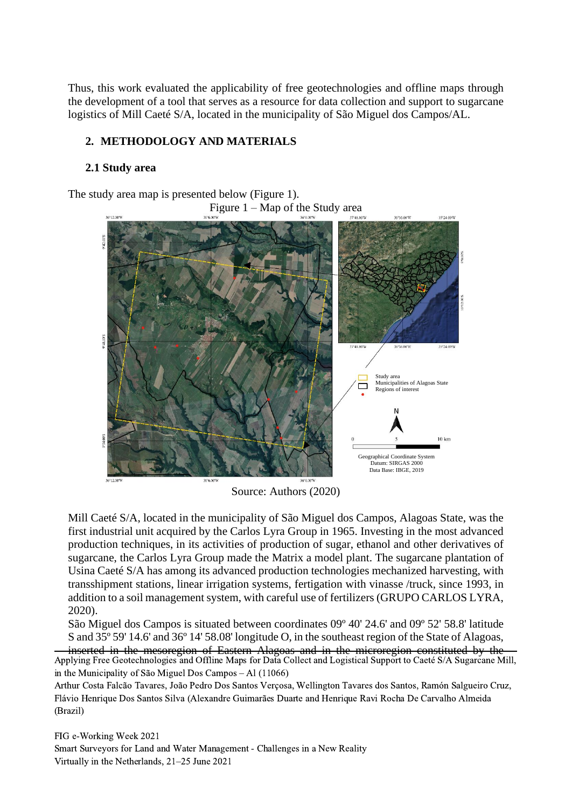Thus, this work evaluated the applicability of free geotechnologies and offline maps through the development of a tool that serves as a resource for data collection and support to sugarcane logistics of Mill Caeté S/A, located in the municipality of São Miguel dos Campos/AL.

# **2. METHODOLOGY AND MATERIALS**

# **2.1 Study area**

The study area map is presented below (Figure 1).

Figure  $1 - Map$  of the Study area



Source: Authors (2020)

Mill Caeté S/A, located in the municipality of São Miguel dos Campos, Alagoas State, was the first industrial unit acquired by the Carlos Lyra Group in 1965. Investing in the most advanced production techniques, in its activities of production of sugar, ethanol and other derivatives of sugarcane, the Carlos Lyra Group made the Matrix a model plant. The sugarcane plantation of Usina Caeté S/A has among its advanced production technologies mechanized harvesting, with transshipment stations, linear irrigation systems, fertigation with vinasse /truck, since 1993, in addition to a soil management system, with careful use of fertilizers (GRUPO CARLOS LYRA, 2020).

São Miguel dos Campos is situated between coordinates 09º 40' 24.6' and 09º 52' 58.8' latitude S and 35º 59' 14.6' and 36º 14' 58.08' longitude O, in the southeast region of the State of Alagoas, inserted in the mesoregion of Eastern Alagoas and in the microregion constituted by the Applying Free Geotechnologies and Offline Maps for Data Collect and Logistical Support to Caeté S/A Sugarcane Mill, in the Municipality of São Miguel Dos Campos – Al (11066)

Arthur Costa Falcão Tavares, João Pedro Dos Santos Verçosa, Wellington Tavares dos Santos, Ramón Salgueiro Cruz, Flávio Henrique Dos Santos Silva (Alexandre Guimarães Duarte and Henrique Ravi Rocha De Carvalho Almeida (Brazil)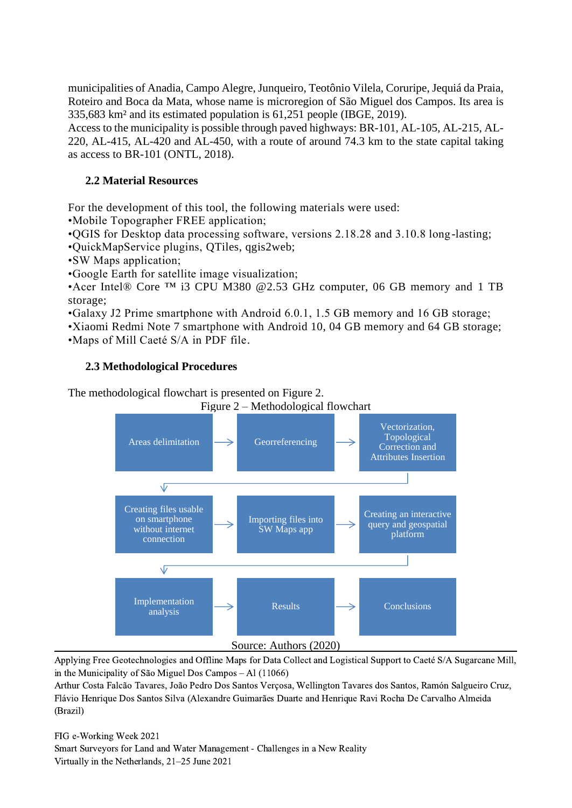municipalities of Anadia, Campo Alegre, Junqueiro, Teotônio Vilela, Coruripe, Jequiá da Praia, Roteiro and Boca da Mata, whose name is microregion of São Miguel dos Campos. Its area is 335,683 km² and its estimated population is 61,251 people (IBGE, 2019).

Access to the municipality is possible through paved highways: BR-101, AL-105, AL-215, AL-220, AL-415, AL-420 and AL-450, with a route of around 74.3 km to the state capital taking as access to BR-101 (ONTL, 2018).

# **2.2 Material Resources**

For the development of this tool, the following materials were used:

•Mobile Topographer FREE application;

•QGIS for Desktop data processing software, versions 2.18.28 and 3.10.8 long-lasting;

•QuickMapService plugins, QTiles, qgis2web;

•SW Maps application;

•Google Earth for satellite image visualization;

•Acer Intel® Core <sup>™</sup> i3 CPU M380 @2.53 GHz computer, 06 GB memory and 1 TB storage;

•Galaxy J2 Prime smartphone with Android 6.0.1, 1.5 GB memory and 16 GB storage;

•Xiaomi Redmi Note 7 smartphone with Android 10, 04 GB memory and 64 GB storage; •Maps of Mill Caeté S/A in PDF file.

# **2.3 Methodological Procedures**

The methodological flowchart is presented on Figure 2.



Applying Free Geotechnologies and Offline Maps for Data Collect and Logistical Support to Caeté S/A Sugarcane Mill, in the Municipality of São Miguel Dos Campos – Al (11066)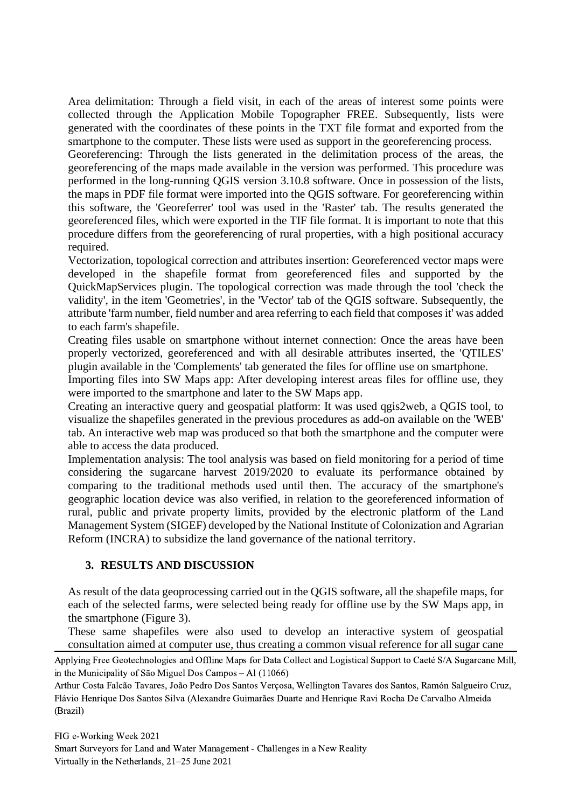Area delimitation: Through a field visit, in each of the areas of interest some points were collected through the Application Mobile Topographer FREE. Subsequently, lists were generated with the coordinates of these points in the TXT file format and exported from the smartphone to the computer. These lists were used as support in the georeferencing process.

Georeferencing: Through the lists generated in the delimitation process of the areas, the georeferencing of the maps made available in the version was performed. This procedure was performed in the long-running QGIS version 3.10.8 software. Once in possession of the lists, the maps in PDF file format were imported into the QGIS software. For georeferencing within this software, the 'Georeferrer' tool was used in the 'Raster' tab. The results generated the georeferenced files, which were exported in the TIF file format. It is important to note that this procedure differs from the georeferencing of rural properties, with a high positional accuracy required.

Vectorization, topological correction and attributes insertion: Georeferenced vector maps were developed in the shapefile format from georeferenced files and supported by the QuickMapServices plugin. The topological correction was made through the tool 'check the validity', in the item 'Geometries', in the 'Vector' tab of the QGIS software. Subsequently, the attribute 'farm number, field number and area referring to each field that composes it' was added to each farm's shapefile.

Creating files usable on smartphone without internet connection: Once the areas have been properly vectorized, georeferenced and with all desirable attributes inserted, the 'QTILES' plugin available in the 'Complements' tab generated the files for offline use on smartphone.

Importing files into SW Maps app: After developing interest areas files for offline use, they were imported to the smartphone and later to the SW Maps app.

Creating an interactive query and geospatial platform: It was used qgis2web, a QGIS tool, to visualize the shapefiles generated in the previous procedures as add-on available on the 'WEB' tab. An interactive web map was produced so that both the smartphone and the computer were able to access the data produced.

Implementation analysis: The tool analysis was based on field monitoring for a period of time considering the sugarcane harvest 2019/2020 to evaluate its performance obtained by comparing to the traditional methods used until then. The accuracy of the smartphone's geographic location device was also verified, in relation to the georeferenced information of rural, public and private property limits, provided by the electronic platform of the Land Management System (SIGEF) developed by the National Institute of Colonization and Agrarian Reform (INCRA) to subsidize the land governance of the national territory.

# **3. RESULTS AND DISCUSSION**

As result of the data geoprocessing carried out in the QGIS software, all the shapefile maps, for each of the selected farms, were selected being ready for offline use by the SW Maps app, in the smartphone (Figure 3).

These same shapefiles were also used to develop an interactive system of geospatial consultation aimed at computer use, thus creating a common visual reference for all sugar cane

Arthur Costa Falcão Tavares, João Pedro Dos Santos Verçosa, Wellington Tavares dos Santos, Ramón Salgueiro Cruz, Flávio Henrique Dos Santos Silva (Alexandre Guimarães Duarte and Henrique Ravi Rocha De Carvalho Almeida (Brazil)

Applying Free Geotechnologies and Offline Maps for Data Collect and Logistical Support to Caeté S/A Sugarcane Mill, in the Municipality of São Miguel Dos Campos – Al (11066)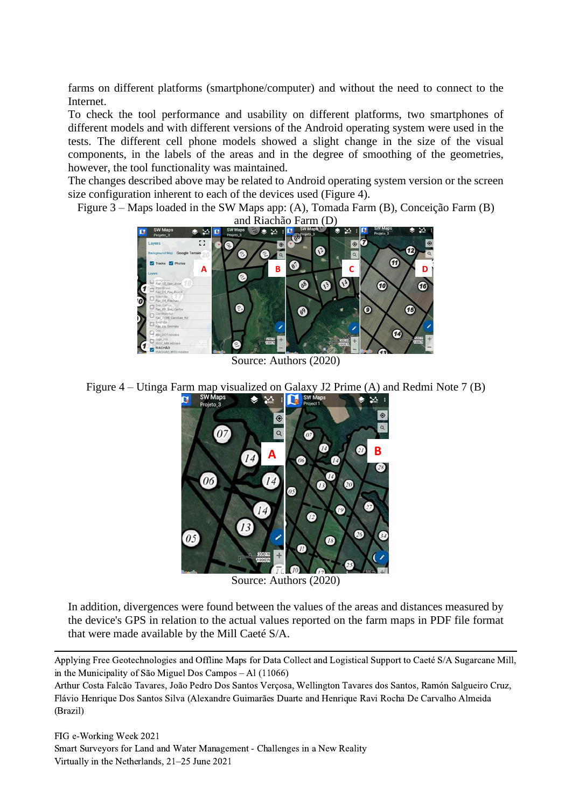farms on different platforms (smartphone/computer) and without the need to connect to the Internet.

To check the tool performance and usability on different platforms, two smartphones of different models and with different versions of the Android operating system were used in the tests. The different cell phone models showed a slight change in the size of the visual components, in the labels of the areas and in the degree of smoothing of the geometries, however, the tool functionality was maintained.

The changes described above may be related to Android operating system version or the screen size configuration inherent to each of the devices used (Figure 4).

Figure 3 – Maps loaded in the SW Maps app: (A), Tomada Farm (B), Conceição Farm (B)



Source: Authors (2020)

Figure 4 – Utinga Farm map visualized on Galaxy J2 Prime (A) and Redmi Note 7 (B)



Source: Authors (2020)

In addition, divergences were found between the values of the areas and distances measured by the device's GPS in relation to the actual values reported on the farm maps in PDF file format that were made available by the Mill Caeté S/A.

Applying Free Geotechnologies and Offline Maps for Data Collect and Logistical Support to Caeté S/A Sugarcane Mill, in the Municipality of São Miguel Dos Campos – Al (11066)

Arthur Costa Falcão Tavares, João Pedro Dos Santos Verçosa, Wellington Tavares dos Santos, Ramón Salgueiro Cruz, Flávio Henrique Dos Santos Silva (Alexandre Guimarães Duarte and Henrique Ravi Rocha De Carvalho Almeida (Brazil)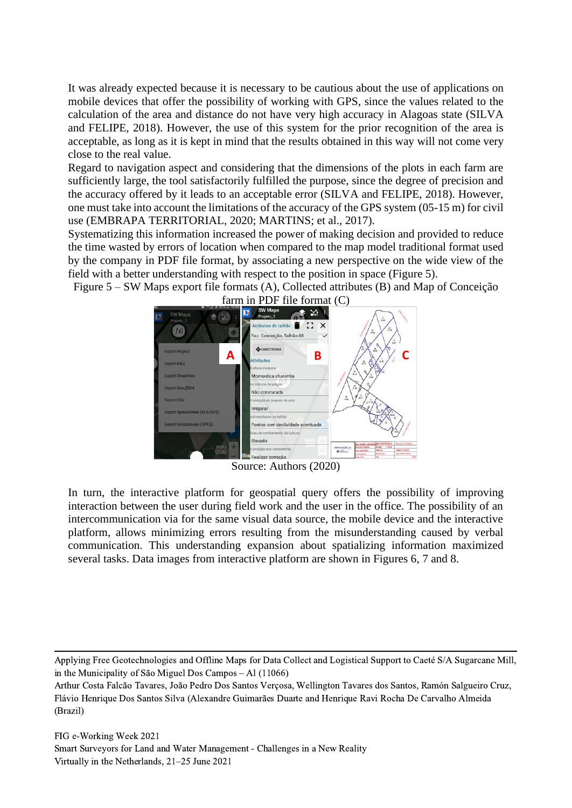It was already expected because it is necessary to be cautious about the use of applications on mobile devices that offer the possibility of working with GPS, since the values related to the calculation of the area and distance do not have very high accuracy in Alagoas state (SILVA and FELIPE, 2018). However, the use of this system for the prior recognition of the area is acceptable, as long as it is kept in mind that the results obtained in this way will not come very close to the real value.

Regard to navigation aspect and considering that the dimensions of the plots in each farm are sufficiently large, the tool satisfactorily fulfilled the purpose, since the degree of precision and the accuracy offered by it leads to an acceptable error (SILVA and FELIPE, 2018). However, one must take into account the limitations of the accuracy of the GPS system (05-15 m) for civil use (EMBRAPA TERRITORIAL, 2020; MARTINS; et al., 2017).

Systematizing this information increased the power of making decision and provided to reduce the time wasted by errors of location when compared to the map model traditional format used by the company in PDF file format, by associating a new perspective on the wide view of the field with a better understanding with respect to the position in space (Figure 5).

Figure 5 – SW Maps export file formats (A), Collected attributes (B) and Map of Conceição



Source: Authors (2020)

In turn, the interactive platform for geospatial query offers the possibility of improving interaction between the user during field work and the user in the office. The possibility of an intercommunication via for the same visual data source, the mobile device and the interactive platform, allows minimizing errors resulting from the misunderstanding caused by verbal communication. This understanding expansion about spatializing information maximized several tasks. Data images from interactive platform are shown in Figures 6, 7 and 8.

Applying Free Geotechnologies and Offline Maps for Data Collect and Logistical Support to Caeté S/A Sugarcane Mill, in the Municipality of São Miguel Dos Campos – Al (11066)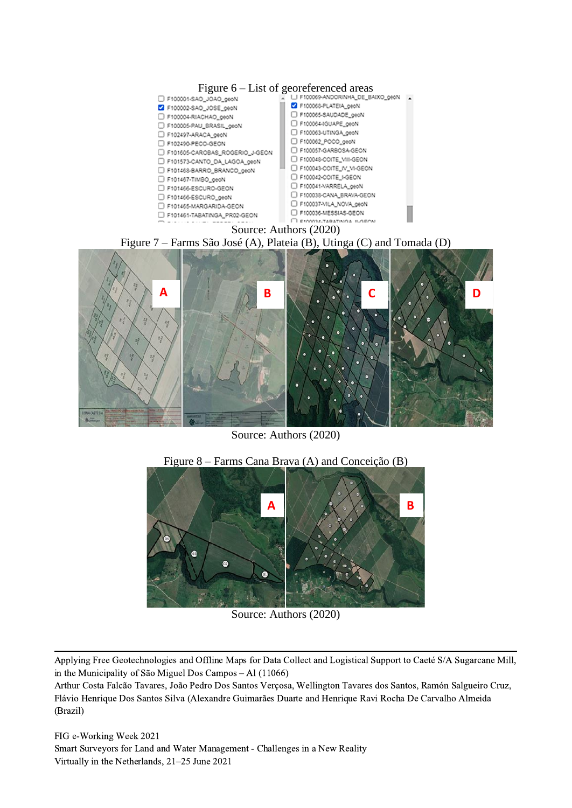

Source: Authors (2020)



Source: Authors (2020)

Applying Free Geotechnologies and Offline Maps for Data Collect and Logistical Support to Caeté S/A Sugarcane Mill, in the Municipality of São Miguel Dos Campos – Al (11066)

Arthur Costa Falcão Tavares, João Pedro Dos Santos Verçosa, Wellington Tavares dos Santos, Ramón Salgueiro Cruz, Flávio Henrique Dos Santos Silva (Alexandre Guimarães Duarte and Henrique Ravi Rocha De Carvalho Almeida (Brazil)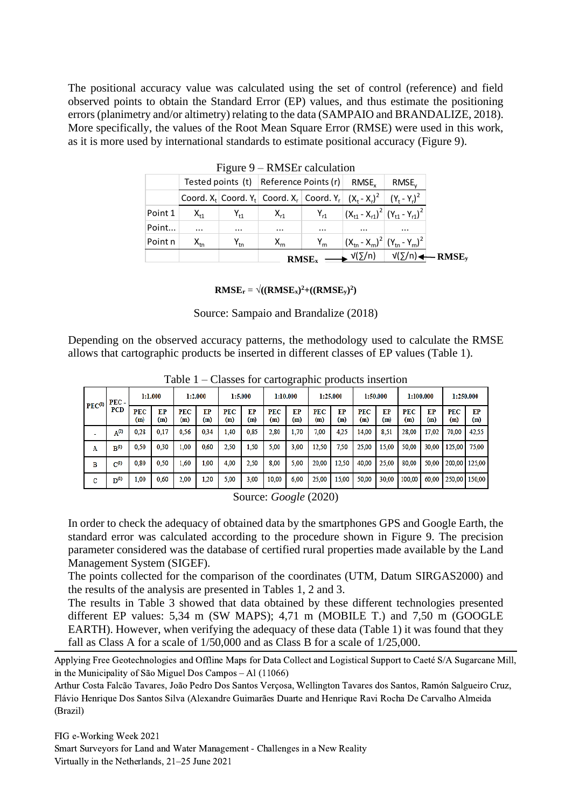The positional accuracy value was calculated using the set of control (reference) and field observed points to obtain the Standard Error (EP) values, and thus estimate the positioning errors (planimetry and/or altimetry) relating to the data (SAMPAIO and BRANDALIZE, 2018). More specifically, the values of the Root Mean Square Error (RMSE) were used in this work, as it is more used by international standards to estimate positional accuracy (Figure 9).

|         |                                             |                        |                                                                                     | RMSE <sub>x</sub> | $\longrightarrow$ $\sqrt{(\Sigma/n)}$ $\sqrt{(\Sigma/n)} \longrightarrow$ RMSE <sub>v</sub> |            |  |  |  |
|---------|---------------------------------------------|------------------------|-------------------------------------------------------------------------------------|-------------------|---------------------------------------------------------------------------------------------|------------|--|--|--|
| Point n | $\mathsf{X}_{\mathsf{tn}}$                  | $Y_{tn}$               | $X_{rn}$                                                                            | $Y_{rn}$          | $ (X_{\rm tn} - X_{\rm rn})^2   (Y_{\rm tn} - Y_{\rm rn})^2  $                              |            |  |  |  |
| Point   | $\cdots$                                    | $\cdots$               | $\cdots$                                                                            | $\cdots$          | $\cdots$                                                                                    | $\cdots$   |  |  |  |
| Point 1 | $X_{t1}$                                    | ${\mathsf Y}_{\sf t1}$ | $X_{r1}$                                                                            | $Y_{r1}$          | $ (X_{t1} - X_{r1})^2   (Y_{t1} - Y_{r1})^2  $                                              |            |  |  |  |
|         |                                             |                        | Coord. $X_t$ Coord. $Y_t$ Coord. $X_r$ Coord. $Y_r$ $(X_t - X_t)^2$ $(Y_t - Y_t)^2$ |                   |                                                                                             |            |  |  |  |
|         |                                             |                        | Tested points (t) Reference Points (r)                                              |                   | RMSE <sub>v</sub>                                                                           | $RMSE_{v}$ |  |  |  |
|         | $\Gamma$ iguit $\ell$ – Kivista taltulation |                        |                                                                                     |                   |                                                                                             |            |  |  |  |

Figure 9 – RMSEr calculation

**RMSEr** =  $\sqrt{((RMSE_x)^2 + ((RMSE_y)^2)}$ 

Source: Sampaio and Brandalize (2018)

Depending on the observed accuracy patterns, the methodology used to calculate the RMSE allows that cartographic products be inserted in different classes of EP values (Table 1).

|                    | .<br>$\frac{1}{2}$ |                   |           |            |           |                   |           |                   |           |            |           |            |           |                   |           |                   |           |
|--------------------|--------------------|-------------------|-----------|------------|-----------|-------------------|-----------|-------------------|-----------|------------|-----------|------------|-----------|-------------------|-----------|-------------------|-----------|
| PEC <sup>(1)</sup> | PEC-               | 1:1.000           |           |            | 1:2.000   |                   | 1:5.000   | 1:10.000          |           | 1:25.000   |           |            | 1:50.000  | 1:100.000         |           |                   | 1.250.000 |
|                    | <b>PCD</b>         | <b>PEC</b><br>(m) | EP<br>(m) | PEC<br>(m) | EP<br>(m) | <b>PEC</b><br>(m) | EP<br>(m) | <b>PEC</b><br>(m) | EP<br>(m) | PEC<br>(m) | EP<br>(m) | PEC<br>(m) | EP<br>(m) | <b>PEC</b><br>(m) | EP<br>(m) | <b>PEC</b><br>(m) | EP<br>(m) |
|                    | $A^{(2)}$          | 0.28              | 0,17      | 0.56       | 0.34      | 1,40              | 0.85      | 2.80              | 1,70      | 7.00       | 4.25      | 14,00      | 8.51      | 28,00             | 17,02     | 70,00             | 42.55     |
| A                  | $B^{(l)}$          | 0,50              | 0.30      | 1,00       | 0.60      | 2,50              | 1.50      | 5,00              | 3.00      | 12,50      | 7.50      | 25,00      | 15,00     | 50,00             | 30.00     | 125,00            | 75,00     |
| в                  | $C^{(1)}$          | 0.80              | 0.50      | 1,60       | 1.00      | 4.00              | 2.50      | 8.00              | 5.00      | 20,00      | 12.50     | 40,00      | 25,00     | 80,00             | 50,00     | 200,00            | 125,00    |
| с                  | $D^{(1)}$          | 00,1              | 0,60      | 2,00       | 1,20      | 5,00              | 3.00      | 10,00             | 6.00      | 25,00      | 15,00     | 50,00      | 30,00     | 100,00            | 60.00     | 250.00            | 150.00    |

Table 1 – Classes for cartographic products insertion

Source: *Google* (2020)

In order to check the adequacy of obtained data by the smartphones GPS and Google Earth, the standard error was calculated according to the procedure shown in Figure 9. The precision parameter considered was the database of certified rural properties made available by the Land Management System (SIGEF).

The points collected for the comparison of the coordinates (UTM, Datum SIRGAS2000) and the results of the analysis are presented in Tables 1, 2 and 3.

The results in Table 3 showed that data obtained by these different technologies presented different EP values: 5,34 m (SW MAPS); 4,71 m (MOBILE T.) and 7,50 m (GOOGLE EARTH). However, when verifying the adequacy of these data (Table 1) it was found that they fall as Class A for a scale of 1/50,000 and as Class B for a scale of 1/25,000.

Applying Free Geotechnologies and Offline Maps for Data Collect and Logistical Support to Caeté S/A Sugarcane Mill, in the Municipality of São Miguel Dos Campos – Al (11066)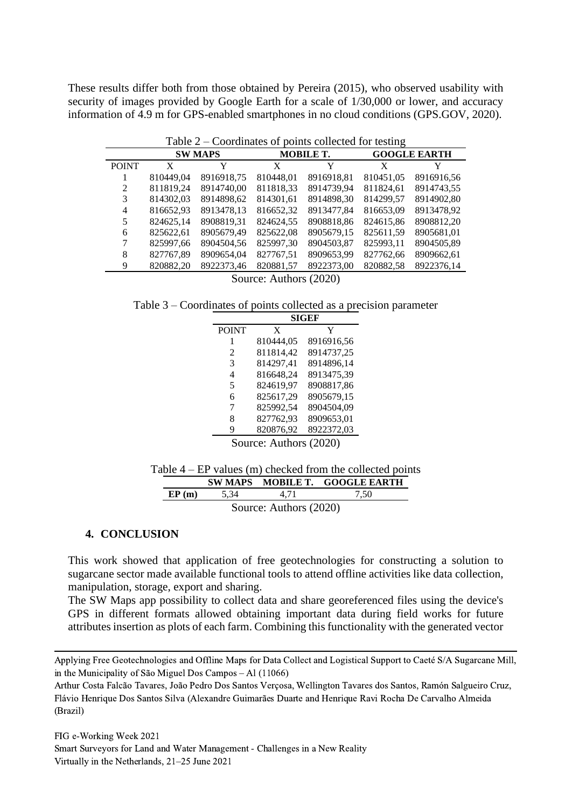These results differ both from those obtained by Pereira (2015), who observed usability with security of images provided by Google Earth for a scale of  $1/30,000$  or lower, and accuracy information of 4.9 m for GPS-enabled smartphones in no cloud conditions (GPS.GOV, 2020).

|              | Table $2$ – Coordinates of points collected for testing |                |           |                  |                     |            |  |  |
|--------------|---------------------------------------------------------|----------------|-----------|------------------|---------------------|------------|--|--|
|              |                                                         | <b>SW MAPS</b> |           | <b>MOBILE T.</b> | <b>GOOGLE EARTH</b> |            |  |  |
| <b>POINT</b> | X                                                       | Y              | X         | Y                | X                   |            |  |  |
|              | 810449.04                                               | 8916918,75     | 810448,01 | 8916918,81       | 810451,05           | 8916916,56 |  |  |
| 2            | 811819,24                                               | 8914740.00     | 811818,33 | 8914739.94       | 811824,61           | 8914743,55 |  |  |
| 3            | 814302.03                                               | 8914898,62     | 814301.61 | 8914898,30       | 814299.57           | 8914902,80 |  |  |
| 4            | 816652,93                                               | 8913478.13     | 816652,32 | 8913477.84       | 816653.09           | 8913478,92 |  |  |
| 5            | 824625.14                                               | 8908819,31     | 824624,55 | 8908818,86       | 824615,86           | 8908812,20 |  |  |
| 6            | 825622.61                                               | 8905679.49     | 825622.08 | 8905679.15       | 825611.59           | 8905681.01 |  |  |
|              | 825997,66                                               | 8904504,56     | 825997,30 | 8904503,87       | 825993,11           | 8904505,89 |  |  |
| 8            | 827767.89                                               | 8909654,04     | 827767.51 | 8909653,99       | 827762.66           | 8909662,61 |  |  |
| 9            | 820882,20                                               | 8922373,46     | 820881,57 | 8922373,00       | 820882,58           | 8922376,14 |  |  |
|              | Source: Authors (2020)                                  |                |           |                  |                     |            |  |  |

Table 2 – Coordinates of points collected for testing

Table 3 – Coordinates of points collected as a precision parameter

|                             |           | <b>SIGEF</b> |
|-----------------------------|-----------|--------------|
| <b>POINT</b>                | X         | Y            |
| 1                           | 810444,05 | 8916916,56   |
| $\mathcal{D}_{\mathcal{L}}$ | 811814,42 | 8914737,25   |
| 3                           | 814297,41 | 8914896,14   |
| 4                           | 816648,24 | 8913475,39   |
| 5                           | 824619,97 | 8908817,86   |
| 6                           | 825617,29 | 8905679,15   |
| 7                           | 825992.54 | 8904504.09   |
| 8                           | 827762,93 | 8909653,01   |
| 9                           | 820876,92 | 8922372,03   |
|                             | $\cdots$  |              |

Source: Authors (2020)

|  | Table $4 - EP$ values (m) checked from the collected points |  |  |  |  |  |  |
|--|-------------------------------------------------------------|--|--|--|--|--|--|
|--|-------------------------------------------------------------|--|--|--|--|--|--|

|                                 |        |  | SW MAPS MOBILE T. GOOGLE EARTH |  |  |  |  |
|---------------------------------|--------|--|--------------------------------|--|--|--|--|
| EP(m)                           | - 5.34 |  | 7.50                           |  |  |  |  |
| $\text{Source:}$ Authors (2020) |        |  |                                |  |  |  |  |

Source: Authors (2020)

#### **4. CONCLUSION**

This work showed that application of free geotechnologies for constructing a solution to sugarcane sector made available functional tools to attend offline activities like data collection, manipulation, storage, export and sharing.

The SW Maps app possibility to collect data and share georeferenced files using the device's GPS in different formats allowed obtaining important data during field works for future attributes insertion as plots of each farm. Combining this functionality with the generated vector

Applying Free Geotechnologies and Offline Maps for Data Collect and Logistical Support to Caeté S/A Sugarcane Mill, in the Municipality of São Miguel Dos Campos – Al (11066)

Arthur Costa Falcão Tavares, João Pedro Dos Santos Verçosa, Wellington Tavares dos Santos, Ramón Salgueiro Cruz, Flávio Henrique Dos Santos Silva (Alexandre Guimarães Duarte and Henrique Ravi Rocha De Carvalho Almeida (Brazil)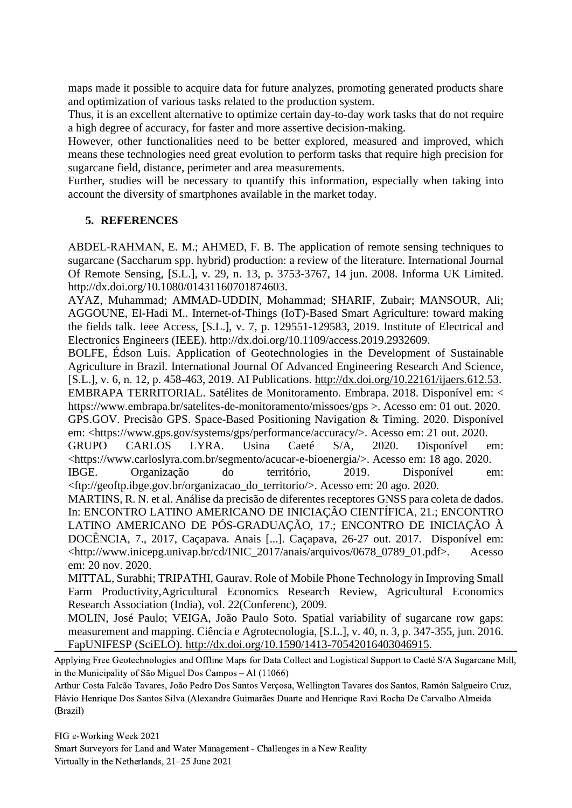maps made it possible to acquire data for future analyzes, promoting generated products share and optimization of various tasks related to the production system.

Thus, it is an excellent alternative to optimize certain day-to-day work tasks that do not require a high degree of accuracy, for faster and more assertive decision-making.

However, other functionalities need to be better explored, measured and improved, which means these technologies need great evolution to perform tasks that require high precision for sugarcane field, distance, perimeter and area measurements.

Further, studies will be necessary to quantify this information, especially when taking into account the diversity of smartphones available in the market today.

#### **5. REFERENCES**

ABDEL‐RAHMAN, E. M.; AHMED, F. B. The application of remote sensing techniques to sugarcane (Saccharum spp. hybrid) production: a review of the literature. International Journal Of Remote Sensing, [S.L.], v. 29, n. 13, p. 3753-3767, 14 jun. 2008. Informa UK Limited. http://dx.doi.org/10.1080/01431160701874603.

AYAZ, Muhammad; AMMAD-UDDIN, Mohammad; SHARIF, Zubair; MANSOUR, Ali; AGGOUNE, El-Hadi M.. Internet-of-Things (IoT)-Based Smart Agriculture: toward making the fields talk. Ieee Access, [S.L.], v. 7, p. 129551-129583, 2019. Institute of Electrical and Electronics Engineers (IEEE). http://dx.doi.org/10.1109/access.2019.2932609.

BOLFE, Édson Luis. Application of Geotechnologies in the Development of Sustainable Agriculture in Brazil. International Journal Of Advanced Engineering Research And Science, [S.L.], v. 6, n. 12, p. 458-463, 2019. AI Publications. [http://dx.doi.org/10.22161/ijaers.612.53.](http://dx.doi.org/10.22161/ijaers.612.53)

EMBRAPA TERRITORIAL. Satélites de Monitoramento. Embrapa. 2018. Disponível em: < https://www.embrapa.br/satelites-de-monitoramento/missoes/gps >. Acesso em: 01 out. 2020.

GPS.GOV. Precisão GPS. Space-Based Positioning Navigation & Timing. 2020. Disponível em: <https://www.gps.gov/systems/gps/performance/accuracy/>. Acesso em: 21 out. 2020.

GRUPO CARLOS LYRA. Usina Caeté S/A, 2020. Disponível em: <https://www.carloslyra.com.br/segmento/acucar-e-bioenergia/>. Acesso em: 18 ago. 2020.

IBGE. Organização do território, 2019. Disponível em: <ftp://geoftp.ibge.gov.br/organizacao\_do\_territorio/>. Acesso em: 20 ago. 2020.

MARTINS, R. N. et al. Análise da precisão de diferentes receptores GNSS para coleta de dados. In: ENCONTRO LATINO AMERICANO DE INICIAÇÃO CIENTÍFICA, 21.; ENCONTRO LATINO AMERICANO DE PÓS-GRADUAÇÃO, 17.; ENCONTRO DE INICIAÇÃO À DOCÊNCIA, 7., 2017, Caçapava. Anais [...]. Caçapava, 26-27 out. 2017. Disponível em: <http://www.inicepg.univap.br/cd/INIC\_2017/anais/arquivos/0678\_0789\_01.pdf>. Acesso em: 20 nov. 2020.

MITTAL, Surabhi; TRIPATHI, Gaurav. Role of Mobile Phone Technology in Improving Small Farm Productivity,Agricultural Economics Research Review, Agricultural Economics Research Association (India), vol. 22(Conferenc), 2009.

MOLIN, José Paulo; VEIGA, João Paulo Soto. Spatial variability of sugarcane row gaps: measurement and mapping. Ciência e Agrotecnologia, [S.L.], v. 40, n. 3, p. 347-355, jun. 2016. FapUNIFESP (SciELO). [http://dx.doi.org/10.1590/1413-70542016403046915.](http://dx.doi.org/10.1590/1413-70542016403046915)

Applying Free Geotechnologies and Offline Maps for Data Collect and Logistical Support to Caeté S/A Sugarcane Mill, in the Municipality of São Miguel Dos Campos – Al (11066)

Arthur Costa Falcão Tavares, João Pedro Dos Santos Verçosa, Wellington Tavares dos Santos, Ramón Salgueiro Cruz, Flávio Henrique Dos Santos Silva (Alexandre Guimarães Duarte and Henrique Ravi Rocha De Carvalho Almeida (Brazil)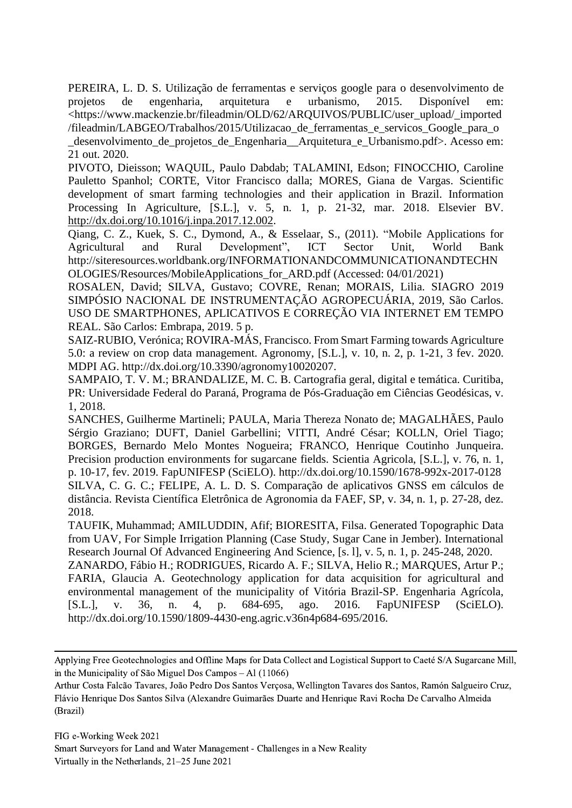PEREIRA, L. D. S. Utilização de ferramentas e serviços google para o desenvolvimento de projetos de engenharia, arquitetura e urbanismo, 2015. Disponível em: <https://www.mackenzie.br/fileadmin/OLD/62/ARQUIVOS/PUBLIC/user\_upload/\_imported /fileadmin/LABGEO/Trabalhos/2015/Utilizacao\_de\_ferramentas\_e\_servicos\_Google\_para\_o \_desenvolvimento\_de\_projetos\_de\_Engenharia\_\_Arquitetura\_e\_Urbanismo.pdf>. Acesso em: 21 out. 2020.

PIVOTO, Dieisson; WAQUIL, Paulo Dabdab; TALAMINI, Edson; FINOCCHIO, Caroline Pauletto Spanhol; CORTE, Vitor Francisco dalla; MORES, Giana de Vargas. Scientific development of smart farming technologies and their application in Brazil. Information Processing In Agriculture, [S.L.], v. 5, n. 1, p. 21-32, mar. 2018. Elsevier BV. [http://dx.doi.org/10.1016/j.inpa.2017.12.002.](http://dx.doi.org/10.1016/j.inpa.2017.12.002)

Qiang, C. Z., Kuek, S. C., Dymond, A., & Esselaar, S., (2011). "Mobile Applications for Agricultural and Rural Development", ICT Sector Unit, World Bank http://siteresources.worldbank.org/INFORMATIONANDCOMMUNICATIONANDTECHN OLOGIES/Resources/MobileApplications\_for\_ARD.pdf (Accessed: 04/01/2021)

ROSALEN, David; SILVA, Gustavo; COVRE, Renan; MORAIS, Lilia. SIAGRO 2019 SIMPÓSIO NACIONAL DE INSTRUMENTAÇÃO AGROPECUÁRIA, 2019, São Carlos. USO DE SMARTPHONES, APLICATIVOS E CORREÇÃO VIA INTERNET EM TEMPO REAL. São Carlos: Embrapa, 2019. 5 p.

SAIZ-RUBIO, Verónica; ROVIRA-MÁS, Francisco. From Smart Farming towards Agriculture 5.0: a review on crop data management. Agronomy, [S.L.], v. 10, n. 2, p. 1-21, 3 fev. 2020. MDPI AG. http://dx.doi.org/10.3390/agronomy10020207.

SAMPAIO, T. V. M.; BRANDALIZE, M. C. B. Cartografia geral, digital e temática. Curitiba, PR: Universidade Federal do Paraná, Programa de Pós-Graduação em Ciências Geodésicas, v. 1, 2018.

SANCHES, Guilherme Martineli; PAULA, Maria Thereza Nonato de; MAGALHÃES, Paulo Sérgio Graziano; DUFT, Daniel Garbellini; VITTI, André César; KOLLN, Oriel Tiago; BORGES, Bernardo Melo Montes Nogueira; FRANCO, Henrique Coutinho Junqueira. Precision production environments for sugarcane fields. Scientia Agricola, [S.L.], v. 76, n. 1, p. 10-17, fev. 2019. FapUNIFESP (SciELO). http://dx.doi.org/10.1590/1678-992x-2017-0128 SILVA, C. G. C.; FELIPE, A. L. D. S. Comparação de aplicativos GNSS em cálculos de distância. Revista Científica Eletrônica de Agronomia da FAEF, SP, v. 34, n. 1, p. 27-28, dez. 2018.

TAUFIK, Muhammad; AMILUDDIN, Afif; BIORESITA, Filsa. Generated Topographic Data from UAV, For Simple Irrigation Planning (Case Study, Sugar Cane in Jember). International Research Journal Of Advanced Engineering And Science, [s. l], v. 5, n. 1, p. 245-248, 2020.

ZANARDO, Fábio H.; RODRIGUES, Ricardo A. F.; SILVA, Helio R.; MARQUES, Artur P.; FARIA, Glaucia A. Geotechnology application for data acquisition for agricultural and environmental management of the municipality of Vitória Brazil-SP. Engenharia Agrícola, [S.L.], v. 36, n. 4, p. 684-695, ago. 2016. FapUNIFESP (SciELO). http://dx.doi.org/10.1590/1809-4430-eng.agric.v36n4p684-695/2016.

Applying Free Geotechnologies and Offline Maps for Data Collect and Logistical Support to Caeté S/A Sugarcane Mill, in the Municipality of São Miguel Dos Campos – Al (11066)

Arthur Costa Falcão Tavares, João Pedro Dos Santos Verçosa, Wellington Tavares dos Santos, Ramón Salgueiro Cruz, Flávio Henrique Dos Santos Silva (Alexandre Guimarães Duarte and Henrique Ravi Rocha De Carvalho Almeida (Brazil)